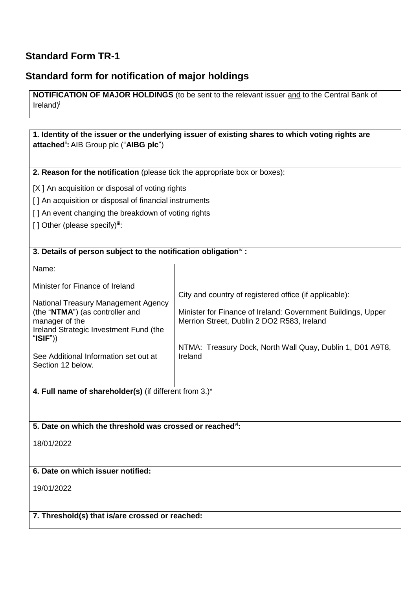## **Standard Form TR-1**

## **Standard form for notification of major holdings**

**NOTIFICATION OF MAJOR HOLDINGS** (to be sent to the relevant issuer and to the Central Bank of Ireland)<sup>i</sup>

| attached": AIB Group plc ("AIBG plc")                                                                                                                                                                                                                      | 1. Identity of the issuer or the underlying issuer of existing shares to which voting rights are                                                                                                                                             |  |  |  |  |  |
|------------------------------------------------------------------------------------------------------------------------------------------------------------------------------------------------------------------------------------------------------------|----------------------------------------------------------------------------------------------------------------------------------------------------------------------------------------------------------------------------------------------|--|--|--|--|--|
|                                                                                                                                                                                                                                                            | 2. Reason for the notification (please tick the appropriate box or boxes):                                                                                                                                                                   |  |  |  |  |  |
| [X] An acquisition or disposal of voting rights<br>[] An acquisition or disposal of financial instruments<br>[] An event changing the breakdown of voting rights<br>[] Other (please specify)iii:                                                          |                                                                                                                                                                                                                                              |  |  |  |  |  |
| 3. Details of person subject to the notification obligation <sup>iv</sup> :                                                                                                                                                                                |                                                                                                                                                                                                                                              |  |  |  |  |  |
| Name:<br>Minister for Finance of Ireland<br>National Treasury Management Agency<br>(the "NTMA") (as controller and<br>manager of the<br>Ireland Strategic Investment Fund (the<br>" $ISIF")$<br>See Additional Information set out at<br>Section 12 below. | City and country of registered office (if applicable):<br>Minister for Finance of Ireland: Government Buildings, Upper<br>Merrion Street, Dublin 2 DO2 R583, Ireland<br>NTMA: Treasury Dock, North Wall Quay, Dublin 1, D01 A9T8,<br>Ireland |  |  |  |  |  |
| 4. Full name of shareholder(s) (if different from $3.$ ) $v$                                                                                                                                                                                               |                                                                                                                                                                                                                                              |  |  |  |  |  |
| 5. Date on which the threshold was crossed or reached <sup>vi</sup> :                                                                                                                                                                                      |                                                                                                                                                                                                                                              |  |  |  |  |  |
| 18/01/2022                                                                                                                                                                                                                                                 |                                                                                                                                                                                                                                              |  |  |  |  |  |
| 6. Date on which issuer notified:                                                                                                                                                                                                                          |                                                                                                                                                                                                                                              |  |  |  |  |  |
| 19/01/2022                                                                                                                                                                                                                                                 |                                                                                                                                                                                                                                              |  |  |  |  |  |
| 7. Threshold(s) that is/are crossed or reached:                                                                                                                                                                                                            |                                                                                                                                                                                                                                              |  |  |  |  |  |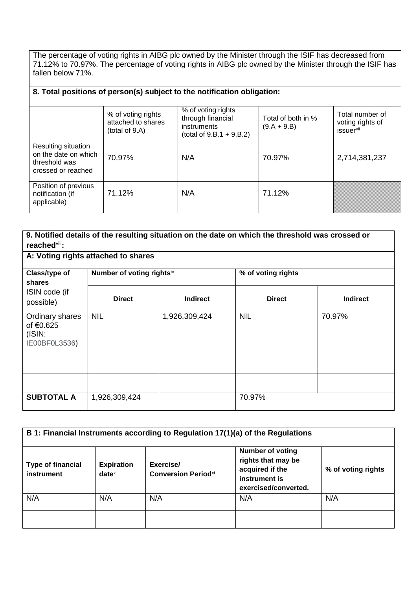The percentage of voting rights in AIBG plc owned by the Minister through the ISIF has decreased from 71.12% to 70.97%. The percentage of voting rights in AIBG plc owned by the Minister through the ISIF has fallen below 71%.

## **8. Total positions of person(s) subject to the notification obligation:**

|                                                                                    | % of voting rights<br>attached to shares<br>(total of 9.A) | % of voting rights<br>through financial<br>instruments<br>(total of $9.B.1 + 9.B.2$ ) | Total of both in %<br>$(9.A + 9.B)$ | Total number of<br>voting rights of<br>issuervii |
|------------------------------------------------------------------------------------|------------------------------------------------------------|---------------------------------------------------------------------------------------|-------------------------------------|--------------------------------------------------|
| Resulting situation<br>on the date on which<br>threshold was<br>crossed or reached | 70.97%                                                     | N/A                                                                                   | 70.97%                              | 2,714,381,237                                    |
| Position of previous<br>notification (if<br>applicable)                            | 71.12%                                                     | N/A                                                                                   | 71.12%                              |                                                  |

| 9. Notified details of the resulting situation on the date on which the threshold was crossed or<br>reached <sup>viii</sup> : |                                     |                 |                    |                 |  |
|-------------------------------------------------------------------------------------------------------------------------------|-------------------------------------|-----------------|--------------------|-----------------|--|
|                                                                                                                               | A: Voting rights attached to shares |                 |                    |                 |  |
| Class/type of<br>shares                                                                                                       | Number of voting rightsix           |                 | % of voting rights |                 |  |
| ISIN code (if<br>possible)                                                                                                    | <b>Direct</b>                       | <b>Indirect</b> | <b>Direct</b>      | <b>Indirect</b> |  |
| Ordinary shares<br>of €0.625<br>(ISIN:<br>IE00BF0L3536)                                                                       | <b>NIL</b>                          | 1,926,309,424   | <b>NIL</b>         | 70.97%          |  |
|                                                                                                                               |                                     |                 |                    |                 |  |
|                                                                                                                               |                                     |                 |                    |                 |  |
| <b>SUBTOTAL A</b>                                                                                                             | 1,926,309,424                       |                 | 70.97%             |                 |  |

| B 1: Financial Instruments according to Regulation 17(1)(a) of the Regulations |                               |                                         |                                                                                                           |                    |  |
|--------------------------------------------------------------------------------|-------------------------------|-----------------------------------------|-----------------------------------------------------------------------------------------------------------|--------------------|--|
| <b>Type of financial</b><br>instrument                                         | <b>Expiration</b><br>$date^x$ | Exercise/<br><b>Conversion Periodxi</b> | <b>Number of voting</b><br>rights that may be<br>acquired if the<br>instrument is<br>exercised/converted. | % of voting rights |  |
| N/A                                                                            | N/A                           | N/A                                     | N/A                                                                                                       | N/A                |  |
|                                                                                |                               |                                         |                                                                                                           |                    |  |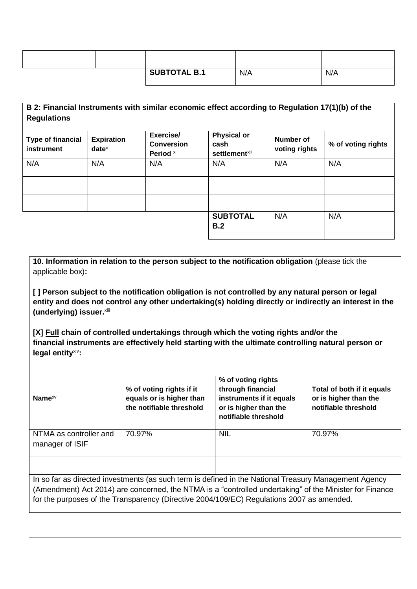|  | <b>SUBTOTAL B.1</b> | N/A | N/A |
|--|---------------------|-----|-----|

| B 2: Financial Instruments with similar economic effect according to Regulation 17(1)(b) of the<br><b>Regulations</b> |                               |                                                        |                                                                |                            |                    |
|-----------------------------------------------------------------------------------------------------------------------|-------------------------------|--------------------------------------------------------|----------------------------------------------------------------|----------------------------|--------------------|
| <b>Type of financial</b><br>instrument                                                                                | <b>Expiration</b><br>$date^x$ | Exercise/<br><b>Conversion</b><br>Period <sup>xi</sup> | <b>Physical or</b><br>cash<br><b>settlement</b> <sup>xii</sup> | Number of<br>voting rights | % of voting rights |
| N/A                                                                                                                   | N/A                           | N/A                                                    | N/A                                                            | N/A                        | N/A                |
|                                                                                                                       |                               |                                                        |                                                                |                            |                    |
|                                                                                                                       |                               |                                                        |                                                                |                            |                    |
|                                                                                                                       |                               |                                                        | <b>SUBTOTAL</b><br>B.2                                         | N/A                        | N/A                |

**10. Information in relation to the person subject to the notification obligation** (please tick the applicable box)**:**

**[ ] Person subject to the notification obligation is not controlled by any natural person or legal entity and does not control any other undertaking(s) holding directly or indirectly an interest in the (underlying) issuer.**xiii

**[X] Full chain of controlled undertakings through which the voting rights and/or the financial instruments are effectively held starting with the ultimate controlling natural person or legal entity**xiv**:**

| Name $x_V$                                                                                              | % of voting rights if it<br>equals or is higher than<br>the notifiable threshold | % of voting rights<br>through financial<br>instruments if it equals<br>or is higher than the<br>notifiable threshold | Total of both if it equals<br>or is higher than the<br>notifiable threshold |  |
|---------------------------------------------------------------------------------------------------------|----------------------------------------------------------------------------------|----------------------------------------------------------------------------------------------------------------------|-----------------------------------------------------------------------------|--|
| NTMA as controller and                                                                                  | 70.97%                                                                           | <b>NIL</b>                                                                                                           | 70.97%                                                                      |  |
| manager of ISIF                                                                                         |                                                                                  |                                                                                                                      |                                                                             |  |
|                                                                                                         |                                                                                  |                                                                                                                      |                                                                             |  |
| In so far as directed investments (as such term is defined in the National Treasury Management Agency   |                                                                                  |                                                                                                                      |                                                                             |  |
| (Amendment) Act 2014) are concerned, the NTMA is a "controlled undertaking" of the Minister for Finance |                                                                                  |                                                                                                                      |                                                                             |  |
| for the purposes of the Transparency (Directive 2004/109/EC) Regulations 2007 as amended.               |                                                                                  |                                                                                                                      |                                                                             |  |